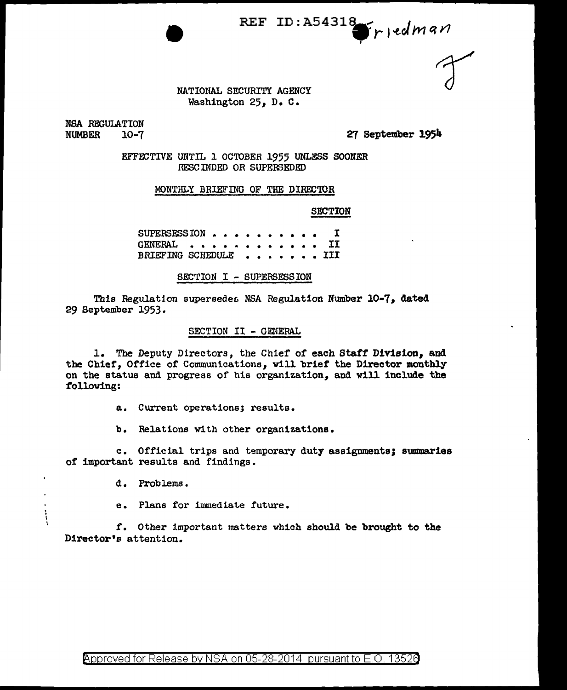$\int r \cdot e dm$ an **REF ID: A54318** 

NATIONAL SECURITY AGENCY Washington 25, D. c.

NSA REGULATION<br>NUMBER 10~7 **NUMBER** 

*P:T* September 1954

EFFECTIVE UNTIL 1 OCTOBER 1955 UNLESS SOONER RESCINDED OR SUPERSEDED

MONTHLY BRIEFING OF THE DIRECTOR

SECTION

SUPERSESSION . . . . . GENERAL . . . BRIEFING SCHEDULE • • • • • • • I • • • • • • • • • <u>1</u> • • • • • • • III

SECTION I - SUPERSESSION

This Regulation supersedes NSA Regulation Number 10-7, dated 29 September 1953·

## SECTION II - GENERAL

l. The Deputy Directors, the Chief of each Staff Division, and the Chief, Office of Communications, vill brief the Director monthly on the status and progress of his organization, and will include the following:

a. Current operations; results.

b. Relations with other organizations.

c. Official trips and temporary duty assignments; summaries of important results and findings.

d. Problems •

 $\ddot{\cdot}$ 

e. Plans for immediate future.

f. Other important matters which should be brought to the Director's attention.